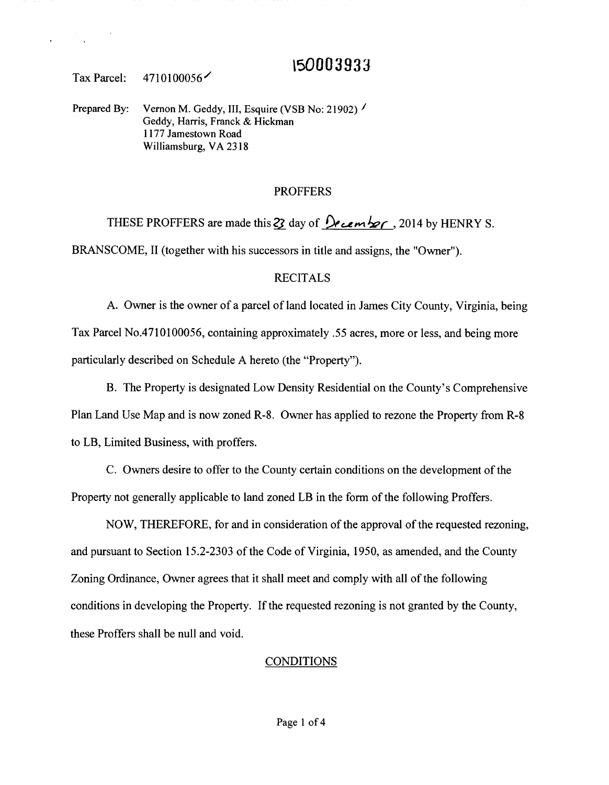# **\50003933**

Tax Parcel: 4710100056/

Prepared By: Vernon M. Geddy, III, Esquire (VSB No: 21902) / Geddy, Harris, Franck & Hickman 1177 Jamestown Road Williamsburg, VA 2318

# PROFFERS

THESE PROFFERS are made this 22 day of  $\sqrt{\frac{1}{2}$  cember, 2014 by HENRY S. BRANSCOME, II (together with his successors in title and assigns, the "Owner").

# RECITALS

A. Owner is the owner of a parcel of land located in James City County, Virginia, being Tax Parcel No.4710100056, containing approximately .55 acres, more or less, and being more particularly described on Schedule A hereto (the "Property").

B. The Property is designated Low Density Residential on the County's Comprehensive Plan Land Use Map and is now zoned R-8. Owner has applied to rezone the Property from R-8 to LB, Limited Business, with proffers.

C. Owners desire to offer to the County certain conditions on the development of the Property not generally applicable to land zoned LB in the form of the following Proffers.

NOW, THEREFORE, for and in consideration of the approval of the requested rezoning, and pursuant to Section 15.2-2303 of the Code of Virginia, 1950, as amended, and the County Zoning Ordinance, Owner agrees that it shall meet and comply with all of the following conditions in developing the Property. If the requested rezoning is not granted by the County, these Proffers shall be null and void.

### **CONDITIONS**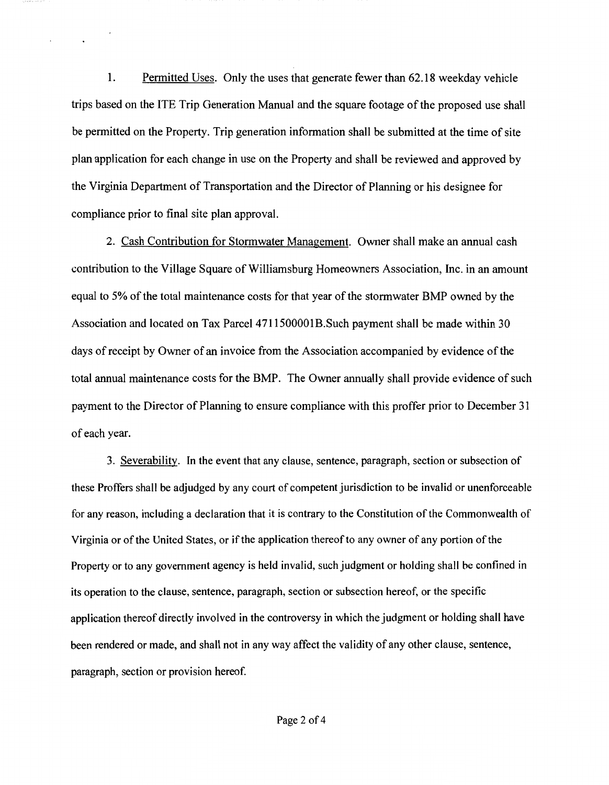1. Permitted Uses. Only the uses that generate fewer than 62.18 weekday vehicle trips based on the ITE Trip Generation Manual and the square footage of the proposed use shall be permitted on the Property. Trip generation information shall be submitted at the time of site plan application for each change in use on the Property and shall be reviewed and approved by the Virginia Department of Transportation and the Director of Planning or his designee for compliance prior to final site plan approval.

2. Cash Contribution for Stormwater Management. Owner shall make an annual cash contribution to the Village Square of Williamsburg Homeowners Association, Inc. in an amount equal to 5% of the total maintenance costs for that year of the storm water BMP owned by the Association and located on Tax Parcel 4711500001B. Such payment shall be made within 30 days of receipt by Owner of an invoice from the Association accompanied by evidence of the total annual maintenance costs for the BMP. The Owner annually shall provide evidence of such payment to the Director of Planning to ensure compliance with this proffer prior to December 31 of each year.

3. Severability. In the event that any clause, sentence, paragraph, section or subsection of these Proffers shall be adjudged by any court of competent jurisdiction to be invalid or unenforceable for any reason, including a declaration that it is contrary to the Constitution of the Commonwealth of Virginia or of the United States, or if the application thereof to any owner of any portion of the Property or to any government agency is held invalid, such judgment or holding shall be confined in its operation to the clause, sentence, paragraph, section or subsection hereof, or the specific application thereof directly involved in the controversy in which the judgment or holding shall have been rendered or made, and shall not in any way affect the validity of any other clause, sentence, paragraph, section or provision hereof.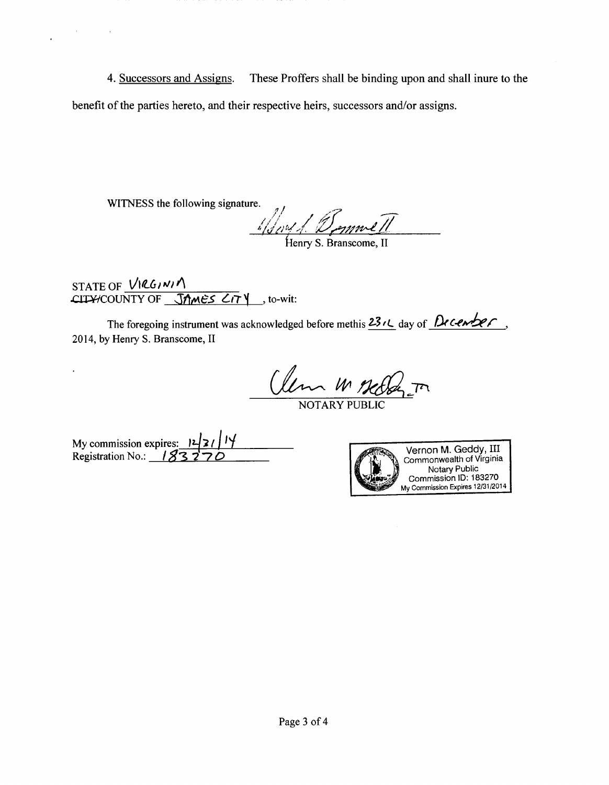4. Successors and Assigns. These Proffers shall be binding upon and shall inure to the benefit of the parties hereto, and their respective heirs, successors and/or assigns.

WITNESS the following signature.

 $\mathcal{O}(\mathcal{O}(\log n))$  .

 $\mathbf{r}$ 

 $\ddot{\phantom{0}}$ 

 $\frac{1}{\sqrt{2m/1}}$   $\frac{1}{\sqrt{2mn}}$ 

STATE OF <u>VIRGINIA</u><br>CITY/COUNTY OF **JAMES CITY**, to-wit:

The foregoing instrument was acknowledged before methis  $23/2$  day of December 2014, by Henry S. Branscome, II

Clem M Meller.

My commission expires:  $12/7$   $14$ <br>Registration No.: 183270

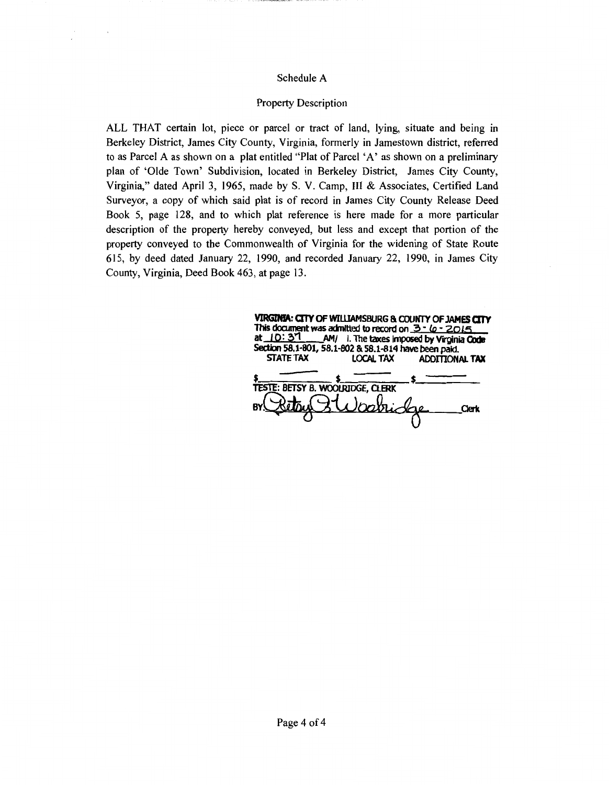### Schedule A

 $\sim$ 

#### Property Description

ALL THAT certain lot, piece or parcel or tract of land, lying, situate and being in Berkeley District, James City County, Virginia, formerly in Jamestown district, referred to as Parcel A as shown on a plat entitled "Plat of Parcel 'A' as shown on a preliminary plan of 'Olde Town' Subdivision, located in Berkeley District, James City County, Virginia," dated April 3, 1965, made by S. V. Camp, III & Associates, Certified Land Surveyor, a copy of which said plat is of record in James City County Release Deed Book 5, page 128, and to which plat reference is here made for a more particular description of the property hereby conveyed, but less and except that portion of the property conveyed to the Commonwealth of Virginia for the widening of State Route 615, by deed dated January 22, 1990, and recorded January 22, 1990, in James City County, Virginia, Deed Book 463, at page 13.

| VIRGINIA: CITY OF WILLIAMSBURG & COUNTY OF JAMES CITY<br>This document was admitted to record on $3 - 6 - 2015$<br>at $10:37$<br>AM/ I. The taxes imposed by Virginia Code |                  |                       |       |
|----------------------------------------------------------------------------------------------------------------------------------------------------------------------------|------------------|-----------------------|-------|
| Section 58.1-801, 58.1-802 & 58.1-814 have been paid.                                                                                                                      |                  |                       |       |
| <b>STATE TAX</b>                                                                                                                                                           | <b>LOCAL TAX</b> | <b>ADDITIONAL TAX</b> |       |
|                                                                                                                                                                            |                  |                       |       |
| <b>TESTE: BETSY B. WOOLRIDGE, CLERK</b>                                                                                                                                    |                  |                       |       |
|                                                                                                                                                                            |                  |                       | Clerk |
|                                                                                                                                                                            |                  |                       |       |